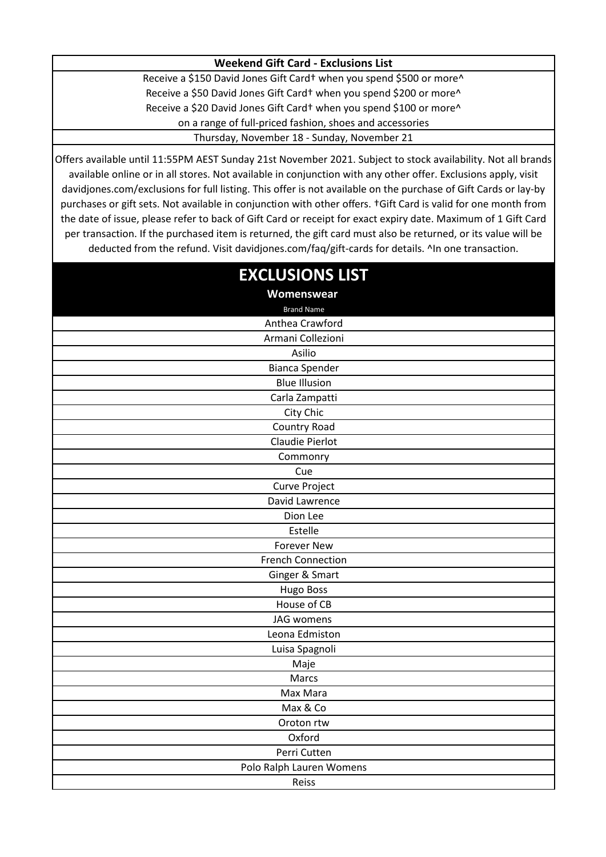## **Weekend Gift Card - Exclusions List**

Receive a \$150 David Jones Gift Card+ when you spend \$500 or more^ Receive a \$50 David Jones Gift Card+ when you spend \$200 or more^ Receive a \$20 David Jones Gift Card+ when you spend \$100 or more^ on a range of full-priced fashion, shoes and accessories Thursday, November 18 - Sunday, November 21

Offers available until 11:55PM AEST Sunday 21st November 2021. Subject to stock availability. Not all brands available online or in all stores. Not available in conjunction with any other offer. Exclusions apply, visit davidjones.com/exclusions for full listing. This offer is not available on the purchase of Gift Cards or lay-by purchases or gift sets. Not available in conjunction with other offers. †Gift Card is valid for one month from the date of issue, please refer to back of Gift Card or receipt for exact expiry date. Maximum of 1 Gift Card per transaction. If the purchased item is returned, the gift card must also be returned, or its value will be deducted from the refund. Visit davidjones.com/faq/gift-cards for details. ^In one transaction.

| <b>EXCLUSIONS LIST</b>   |
|--------------------------|
| Womenswear               |
| <b>Brand Name</b>        |
| Anthea Crawford          |
| Armani Collezioni        |
| Asilio                   |
| <b>Bianca Spender</b>    |
| <b>Blue Illusion</b>     |
| Carla Zampatti           |
| City Chic                |
| Country Road             |
| <b>Claudie Pierlot</b>   |
| Commonry                 |
| Cue                      |
| Curve Project            |
| David Lawrence           |
| Dion Lee                 |
| Estelle                  |
| <b>Forever New</b>       |
| <b>French Connection</b> |
| Ginger & Smart           |
| <b>Hugo Boss</b>         |
| House of CB              |
| JAG womens               |
| Leona Edmiston           |
| Luisa Spagnoli           |
| Maje                     |
| Marcs                    |
| Max Mara                 |
| Max & Co                 |
| Oroton rtw               |
| Oxford                   |
| Perri Cutten             |
| Polo Ralph Lauren Womens |
| Reiss                    |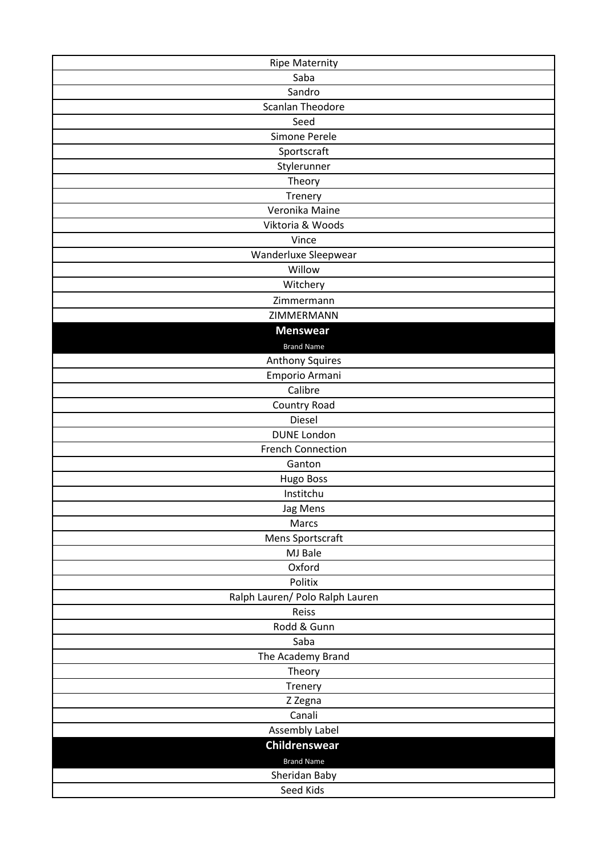| <b>Ripe Maternity</b>           |
|---------------------------------|
| Saba                            |
| Sandro                          |
| <b>Scanlan Theodore</b>         |
| Seed                            |
| Simone Perele                   |
| Sportscraft                     |
| Stylerunner                     |
| Theory                          |
| Trenery                         |
| Veronika Maine                  |
| Viktoria & Woods                |
| Vince                           |
| Wanderluxe Sleepwear            |
| Willow                          |
| Witchery                        |
| Zimmermann                      |
| ZIMMERMANN                      |
| <b>Menswear</b>                 |
| <b>Brand Name</b>               |
| <b>Anthony Squires</b>          |
| Emporio Armani                  |
| Calibre                         |
| Country Road                    |
| Diesel                          |
| <b>DUNE London</b>              |
| <b>French Connection</b>        |
| Ganton                          |
| <b>Hugo Boss</b>                |
| Institchu                       |
| Jag Mens                        |
| Marcs                           |
| Mens Sportscraft                |
| MJ Bale                         |
| Oxford                          |
| Politix                         |
| Ralph Lauren/ Polo Ralph Lauren |
| Reiss                           |
| Rodd & Gunn                     |
| Saba                            |
| The Academy Brand               |
| Theory                          |
| Trenery                         |
| Z Zegna                         |
| Canali                          |
| Assembly Label                  |
| Childrenswear                   |
| <b>Brand Name</b>               |
| Sheridan Baby                   |
| Seed Kids                       |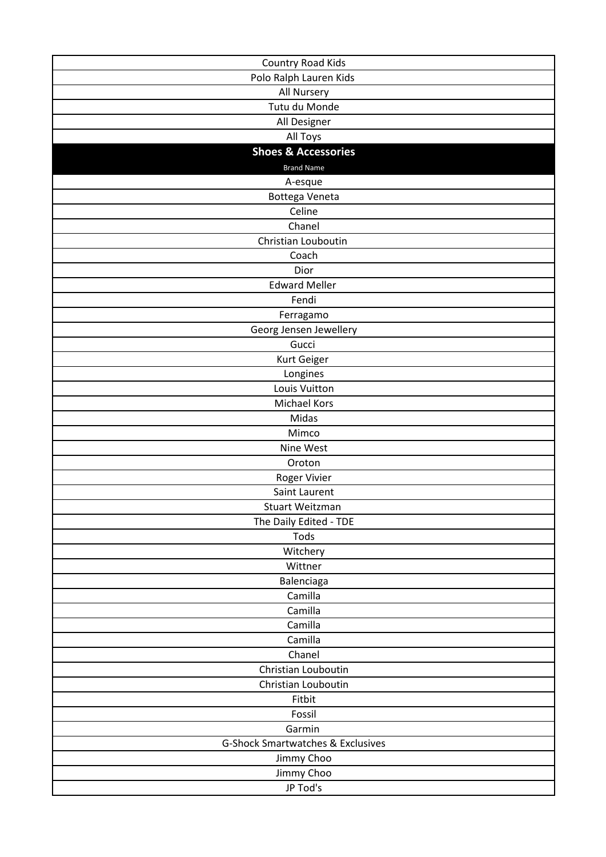| Country Road Kids                            |
|----------------------------------------------|
| Polo Ralph Lauren Kids                       |
| All Nursery                                  |
| Tutu du Monde                                |
| All Designer                                 |
| <b>All Toys</b>                              |
| <b>Shoes &amp; Accessories</b>               |
| <b>Brand Name</b>                            |
| A-esque                                      |
| Bottega Veneta                               |
| Celine                                       |
| Chanel                                       |
| Christian Louboutin                          |
| Coach                                        |
| Dior                                         |
| <b>Edward Meller</b>                         |
| Fendi                                        |
| Ferragamo                                    |
| Georg Jensen Jewellery                       |
| Gucci                                        |
| Kurt Geiger                                  |
| Longines                                     |
| Louis Vuitton                                |
| Michael Kors                                 |
| Midas                                        |
| Mimco                                        |
| Nine West                                    |
| Oroton                                       |
| Roger Vivier                                 |
| Saint Laurent                                |
| Stuart Weitzman                              |
| The Daily Edited - TDE                       |
| Tods                                         |
| Witchery                                     |
| Wittner                                      |
| Balenciaga                                   |
| Camilla                                      |
| Camilla                                      |
| Camilla                                      |
| Camilla                                      |
| Chanel                                       |
| Christian Louboutin                          |
| Christian Louboutin                          |
| Fitbit                                       |
| Fossil                                       |
| Garmin                                       |
| <b>G-Shock Smartwatches &amp; Exclusives</b> |
| Jimmy Choo                                   |
| Jimmy Choo                                   |
| JP Tod's                                     |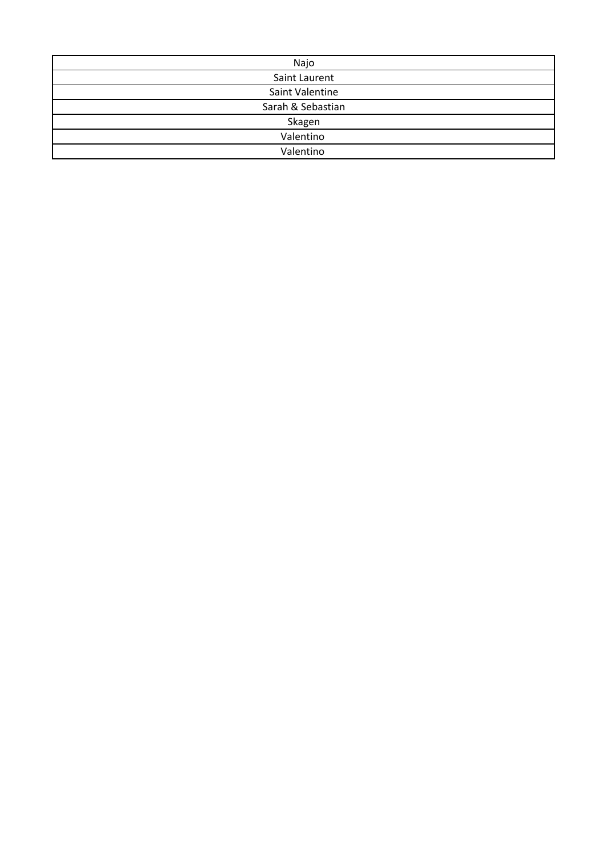| Najo              |
|-------------------|
| Saint Laurent     |
| Saint Valentine   |
| Sarah & Sebastian |
| Skagen            |
| Valentino         |
| Valentino         |